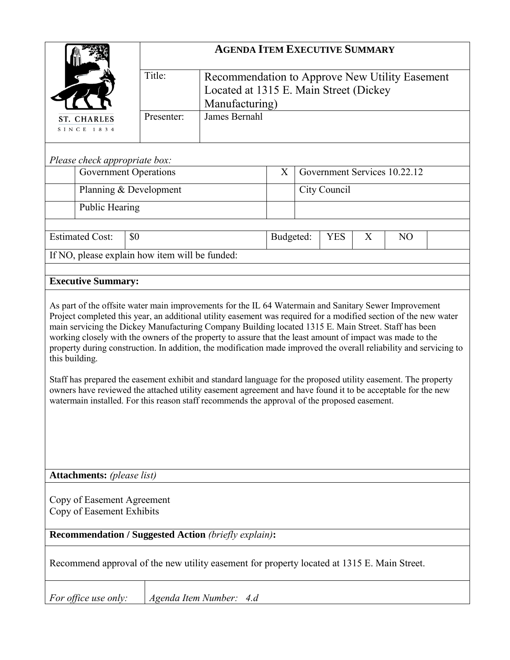|                                                                                                                                                                                                                                                                                                                                                                                                                                                                                                                                                                                                                                                                                                                                                                                                                                                                                                                                                             |                                                | <b>AGENDA ITEM EXECUTIVE SUMMARY</b>                                                                       |   |                              |            |   |                |  |  |
|-------------------------------------------------------------------------------------------------------------------------------------------------------------------------------------------------------------------------------------------------------------------------------------------------------------------------------------------------------------------------------------------------------------------------------------------------------------------------------------------------------------------------------------------------------------------------------------------------------------------------------------------------------------------------------------------------------------------------------------------------------------------------------------------------------------------------------------------------------------------------------------------------------------------------------------------------------------|------------------------------------------------|------------------------------------------------------------------------------------------------------------|---|------------------------------|------------|---|----------------|--|--|
|                                                                                                                                                                                                                                                                                                                                                                                                                                                                                                                                                                                                                                                                                                                                                                                                                                                                                                                                                             | Title:                                         | Recommendation to Approve New Utility Easement<br>Located at 1315 E. Main Street (Dickey<br>Manufacturing) |   |                              |            |   |                |  |  |
| ST. CHARLES                                                                                                                                                                                                                                                                                                                                                                                                                                                                                                                                                                                                                                                                                                                                                                                                                                                                                                                                                 | James Bernahl<br>Presenter:                    |                                                                                                            |   |                              |            |   |                |  |  |
| SINCE 1834                                                                                                                                                                                                                                                                                                                                                                                                                                                                                                                                                                                                                                                                                                                                                                                                                                                                                                                                                  |                                                |                                                                                                            |   |                              |            |   |                |  |  |
|                                                                                                                                                                                                                                                                                                                                                                                                                                                                                                                                                                                                                                                                                                                                                                                                                                                                                                                                                             |                                                |                                                                                                            |   |                              |            |   |                |  |  |
| Please check appropriate box:                                                                                                                                                                                                                                                                                                                                                                                                                                                                                                                                                                                                                                                                                                                                                                                                                                                                                                                               |                                                |                                                                                                            |   |                              |            |   |                |  |  |
| <b>Government Operations</b>                                                                                                                                                                                                                                                                                                                                                                                                                                                                                                                                                                                                                                                                                                                                                                                                                                                                                                                                |                                                |                                                                                                            | X | Government Services 10.22.12 |            |   |                |  |  |
|                                                                                                                                                                                                                                                                                                                                                                                                                                                                                                                                                                                                                                                                                                                                                                                                                                                                                                                                                             | Planning & Development                         |                                                                                                            |   | City Council                 |            |   |                |  |  |
| Public Hearing                                                                                                                                                                                                                                                                                                                                                                                                                                                                                                                                                                                                                                                                                                                                                                                                                                                                                                                                              |                                                |                                                                                                            |   |                              |            |   |                |  |  |
| <b>Estimated Cost:</b>                                                                                                                                                                                                                                                                                                                                                                                                                                                                                                                                                                                                                                                                                                                                                                                                                                                                                                                                      | \$0                                            |                                                                                                            |   |                              | <b>YES</b> | X | N <sub>O</sub> |  |  |
|                                                                                                                                                                                                                                                                                                                                                                                                                                                                                                                                                                                                                                                                                                                                                                                                                                                                                                                                                             | If NO, please explain how item will be funded: |                                                                                                            |   |                              |            |   |                |  |  |
|                                                                                                                                                                                                                                                                                                                                                                                                                                                                                                                                                                                                                                                                                                                                                                                                                                                                                                                                                             |                                                |                                                                                                            |   |                              |            |   |                |  |  |
| <b>Executive Summary:</b>                                                                                                                                                                                                                                                                                                                                                                                                                                                                                                                                                                                                                                                                                                                                                                                                                                                                                                                                   |                                                |                                                                                                            |   |                              |            |   |                |  |  |
| As part of the offsite water main improvements for the IL 64 Watermain and Sanitary Sewer Improvement<br>Project completed this year, an additional utility easement was required for a modified section of the new water<br>main servicing the Dickey Manufacturing Company Building located 1315 E. Main Street. Staff has been<br>working closely with the owners of the property to assure that the least amount of impact was made to the<br>property during construction. In addition, the modification made improved the overall reliability and servicing to<br>this building.<br>Staff has prepared the easement exhibit and standard language for the proposed utility easement. The property<br>owners have reviewed the attached utility easement agreement and have found it to be acceptable for the new<br>watermain installed. For this reason staff recommends the approval of the proposed easement.<br><b>Attachments:</b> (please list) |                                                |                                                                                                            |   |                              |            |   |                |  |  |
|                                                                                                                                                                                                                                                                                                                                                                                                                                                                                                                                                                                                                                                                                                                                                                                                                                                                                                                                                             |                                                |                                                                                                            |   |                              |            |   |                |  |  |
| Copy of Easement Agreement<br>Copy of Easement Exhibits                                                                                                                                                                                                                                                                                                                                                                                                                                                                                                                                                                                                                                                                                                                                                                                                                                                                                                     |                                                |                                                                                                            |   |                              |            |   |                |  |  |
| <b>Recommendation / Suggested Action (briefly explain):</b>                                                                                                                                                                                                                                                                                                                                                                                                                                                                                                                                                                                                                                                                                                                                                                                                                                                                                                 |                                                |                                                                                                            |   |                              |            |   |                |  |  |
| Recommend approval of the new utility easement for property located at 1315 E. Main Street.                                                                                                                                                                                                                                                                                                                                                                                                                                                                                                                                                                                                                                                                                                                                                                                                                                                                 |                                                |                                                                                                            |   |                              |            |   |                |  |  |
| Agenda Item Number: 4.d<br>For office use only:                                                                                                                                                                                                                                                                                                                                                                                                                                                                                                                                                                                                                                                                                                                                                                                                                                                                                                             |                                                |                                                                                                            |   |                              |            |   |                |  |  |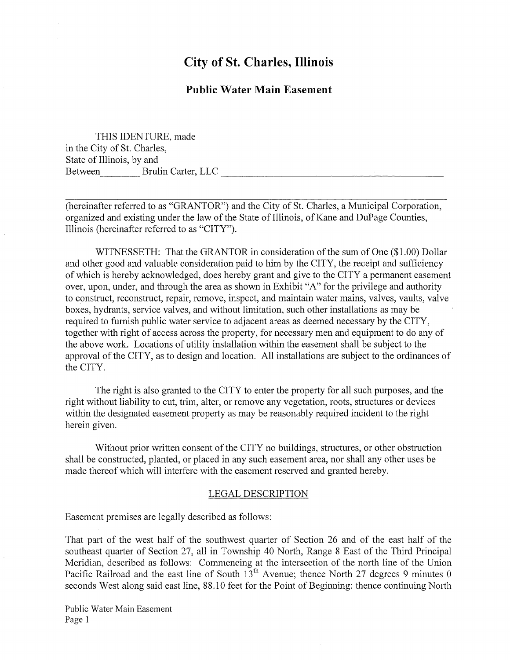## **City of St. Charles, Illinois**

## **Public Water Main Easement**

THIS IDENTURE, made in the City of St. Charles, State of Illinois, by and Between Brulin Carter, LLC

(hereinafter referred to as "GRANTOR") and the City of St. Charles, a Municipal Corporation, organized and existing under the law of the State of Illinois, of Kane and DuPage Counties, Illinois (hereinafter referred to as "CITY").

WITNESSETH: That the GRANTOR in consideration of the sum of One (\$1.00) Dollar and other good and valuable consideration paid to him by the CITY, the receipt and sufficiency of which is hereby acknowledged, does hereby grant and give to the CITY a permanent easement over, upon, under, and through the area as shown in Exhibit "A" for the privilege and authority to construct, reconstruct, repair, remove, inspect, and maintain water mains, valves, vaults, valve boxes, hydrants, service valves, and without limitation, such other installations as may be required to furnish public water service to adjacent areas as deemed necessary by the CITY, together with right of access across the property, for necessary men and equipment to do any of the above work. Locations of utility installation within the easement shall be subject to the approval of the CITY, as to design and location. All installations are subject to the ordinances of the CITY.

The right is also granted to the CITY to enter the property for all such purposes, and the right without liability to cut, trim, alter, or remove any vegetation, roots, structures or devices within the designated easement property as may be reasonably required incident to the right herein given.

Without prior written consent of the CITY no buildings, structures, or other obstruction shall be constructed, planted, or placed in any such easement area, nor shall any other uses be made thereof which will interfere with the easement reserved and granted hereby.

## **LEGAL DESCRIPTION**

Easement premises are legally described as follows:

That part of the west half of the southwest quarter of Section 26 and of the east half of the southeast quarter of Section 27, all in Township 40 North, Range 8 East of the Third Principal Meridian, described as follows: Commencing at the intersection of the north line of the Union Pacific Railroad and the east line of South 13<sup>th</sup> Avenue; thence North 27 degrees 9 minutes 0 seconds West along said east line, 88.10 feet for the Point of Beginning: thence continuing North

Public Water Main Easement Page 1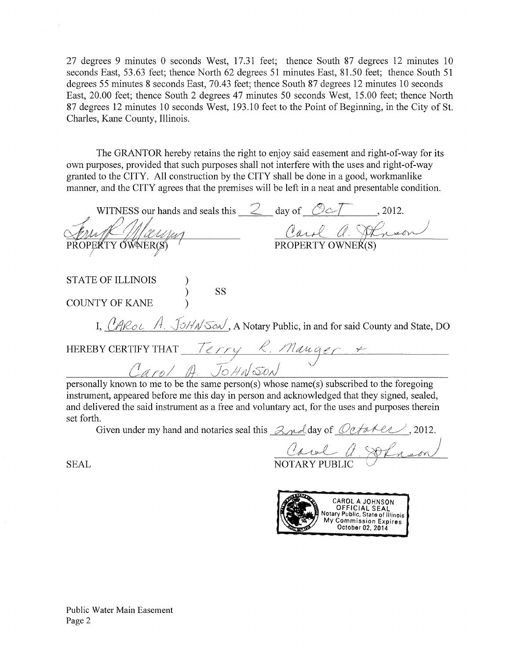27 degrees 9 minutes 0 seconds West, 17.31 feet; thence South 87 degrees 12 minutes 10 seconds East, 53.63 feet; thence North 62 degrees 51 minutes East, 81.50 feet; thence South 51 degrees 55 minutes 8 seconds East, 70.43 feet; thence South 87 degrees 12 minutes 10 seconds East, 20.00 feet; thence South 2 degrees 47 minutes 50 seconds West, 15.00 feet; thence North 87 degrees 12 minutes 10 seconds West, 193.10 feet to the Point of Beginning, in the City of St. Charles, Kane County, Illinois.

The GRANTOR hereby retains the right to enjoy said easement and right-of-way for its own purposes, provided that such purposes shall not interfere with the uses and right-of-way granted to the CITY. All construction by the CITY shall be done in a good, workmanlike manner, and the CITY agrees that the premises will be left in a neat and presentable condition.

| WITNESS our hands and seals this $\mathcal{Z}$ day of $\mathcal{O}\mathcal{Z}$ , 2012.    |
|-------------------------------------------------------------------------------------------|
| Carol a. Atnson                                                                           |
| PROPERTY OWNER(S)<br>PROPERTY OWNER(S)                                                    |
|                                                                                           |
| <b>STATE OF ILLINOIS</b><br><b>SS</b>                                                     |
| <b>COUNTY OF KANE</b>                                                                     |
| I. ( $A$ RoL $A$ . JoHN Son, A Notary Public, in and for said County and State, DO        |
| HEREBY CERTIFY THAT Terry R. Manger                                                       |
| Carol A. JOHNSON                                                                          |
| personally known to me to be the same person(s) whose name(s) subscribed to the foregoing |

instrument, appeared before me this day in person and acknowledged that they signed, sealed, and delivered the said instrument as a free and voluntary act, for the uses and purposes therein set forth.

Given under my hand and notaries seal this  $\beta_{\mathcal{M}}$  day of  $\mathcal{O}t$  and  $\ell$ .

Caul a Soluson

**SEAL** 

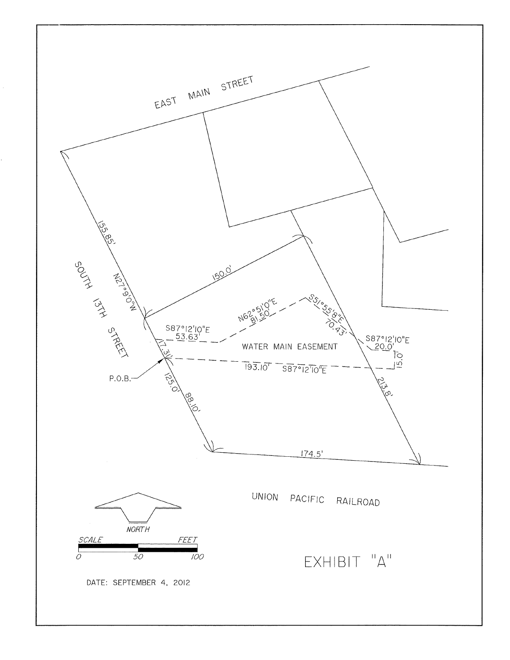